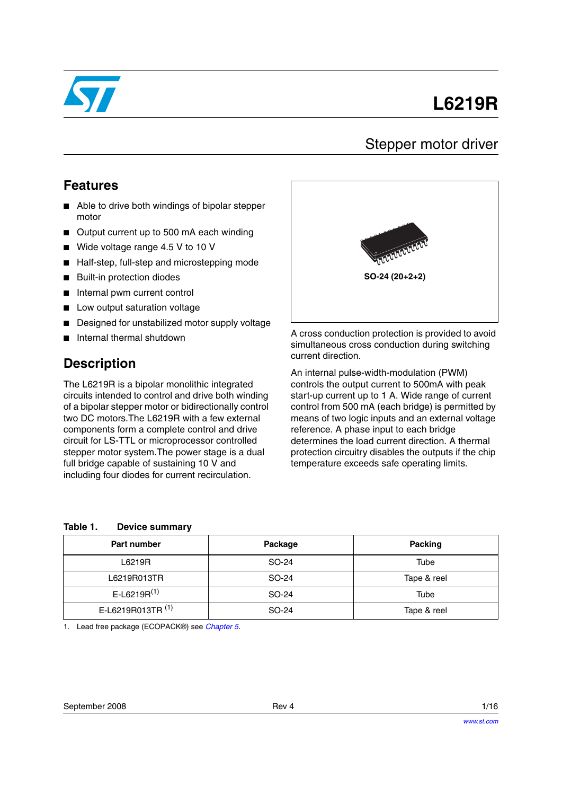

# **L6219R**

### Stepper motor driver

#### **Features**

- Able to drive both windings of bipolar stepper motor
- Output current up to 500 mA each winding
- Wide voltage range 4.5 V to 10 V
- Half-step, full-step and microstepping mode
- **Built-in protection diodes**
- Internal pwm current control
- Low output saturation voltage
- Designed for unstabilized motor supply voltage
- Internal thermal shutdown

#### **Description**

The L6219R is a bipolar monolithic integrated circuits intended to control and drive both winding of a bipolar stepper motor or bidirectionally control two DC motors.The L6219R with a few external components form a complete control and drive circuit for LS-TTL or microprocessor controlled stepper motor system.The power stage is a dual full bridge capable of sustaining 10 V and including four diodes for current recirculation.



A cross conduction protection is provided to avoid simultaneous cross conduction during switching current direction.

An internal pulse-width-modulation (PWM) controls the output current to 500mA with peak start-up current up to 1 A. Wide range of current control from 500 mA (each bridge) is permitted by means of two logic inputs and an external voltage reference. A phase input to each bridge determines the load current direction. A thermal protection circuitry disables the outputs if the chip temperature exceeds safe operating limits.

#### <span id="page-0-0"></span>**Table 1. Device summary**

| Part number                  | Package | Packing     |
|------------------------------|---------|-------------|
| L6219R                       | SO-24   | Tube        |
| L6219R013TR                  | SO-24   | Tape & reel |
| E-L6219R $(1)$               | SO-24   | Tube        |
| E-L6219R013TR <sup>(1)</sup> | SO-24   | Tape & reel |

1. Lead free package (ECOPACK®) see *[Chapter 5](#page-13-0)*.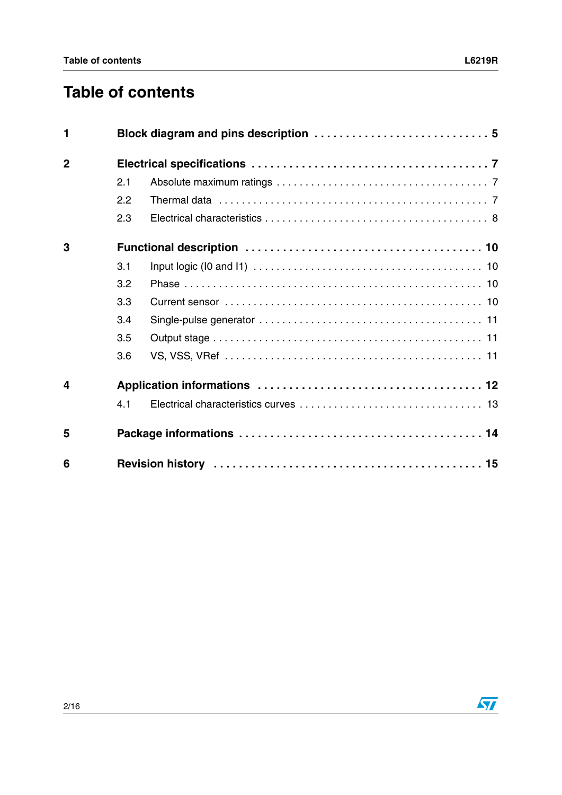# **Table of contents**

| $\mathbf{1}$            |     |                                                                                                           |  |  |
|-------------------------|-----|-----------------------------------------------------------------------------------------------------------|--|--|
| $\overline{2}$          |     |                                                                                                           |  |  |
|                         | 2.1 |                                                                                                           |  |  |
|                         | 2.2 | Thermal data $\ldots \ldots \ldots \ldots \ldots \ldots \ldots \ldots \ldots \ldots \ldots \ldots \ldots$ |  |  |
|                         | 2.3 |                                                                                                           |  |  |
| 3                       |     |                                                                                                           |  |  |
|                         | 3.1 |                                                                                                           |  |  |
|                         | 3.2 |                                                                                                           |  |  |
|                         | 3.3 |                                                                                                           |  |  |
|                         | 3.4 |                                                                                                           |  |  |
|                         | 3.5 |                                                                                                           |  |  |
|                         | 3.6 |                                                                                                           |  |  |
| $\overline{\mathbf{4}}$ |     |                                                                                                           |  |  |
|                         | 4.1 |                                                                                                           |  |  |
| 5                       |     |                                                                                                           |  |  |
| 6                       |     |                                                                                                           |  |  |

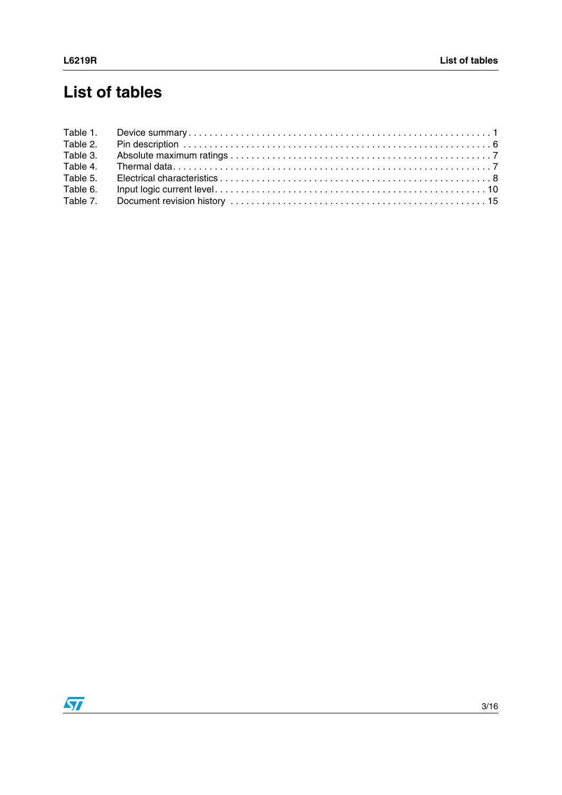# **List of tables**

| Table 2. |  |
|----------|--|
| Table 3. |  |
| Table 4. |  |
| Table 5. |  |
| Table 6. |  |
| Table 7. |  |

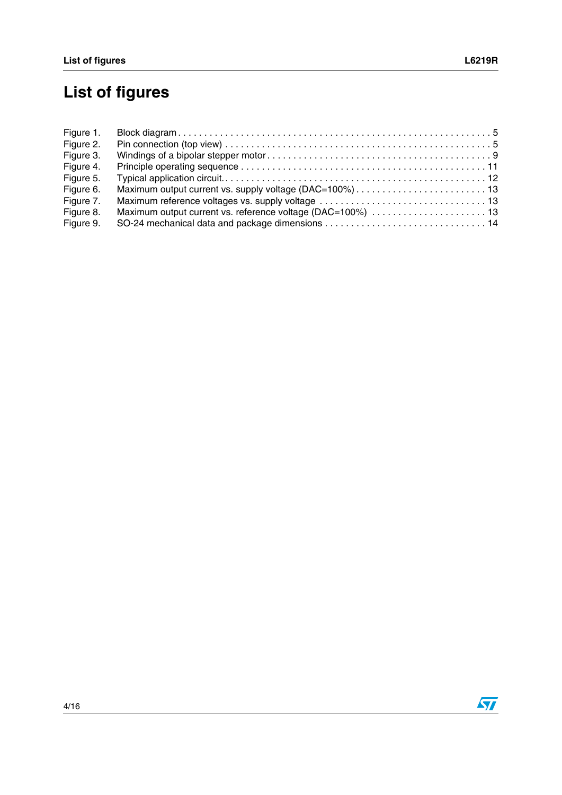# **List of figures**

| Figure 1. |  |
|-----------|--|
| Figure 2. |  |
| Figure 3. |  |
| Figure 4. |  |
| Figure 5. |  |
| Figure 6. |  |
| Figure 7. |  |
| Figure 8. |  |
| Figure 9. |  |

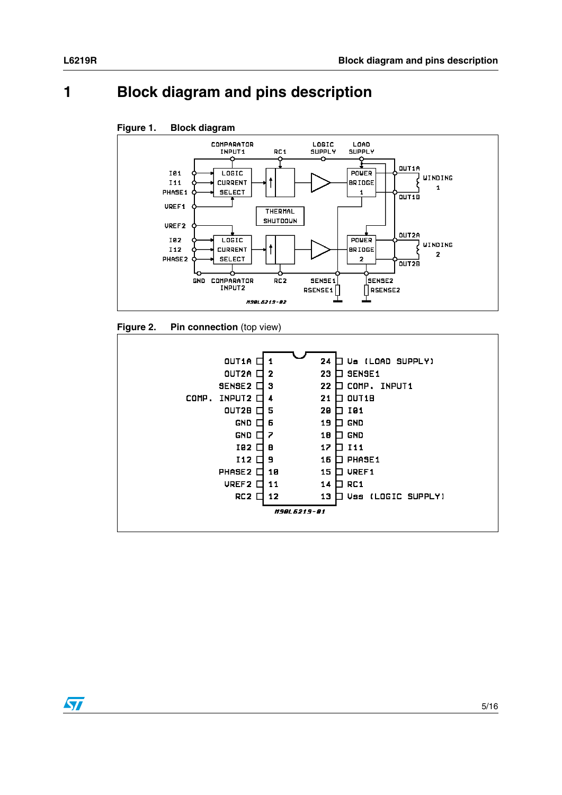## <span id="page-4-0"></span>**1 Block diagram and pins description**

<span id="page-4-1"></span>



<span id="page-4-2"></span>



ST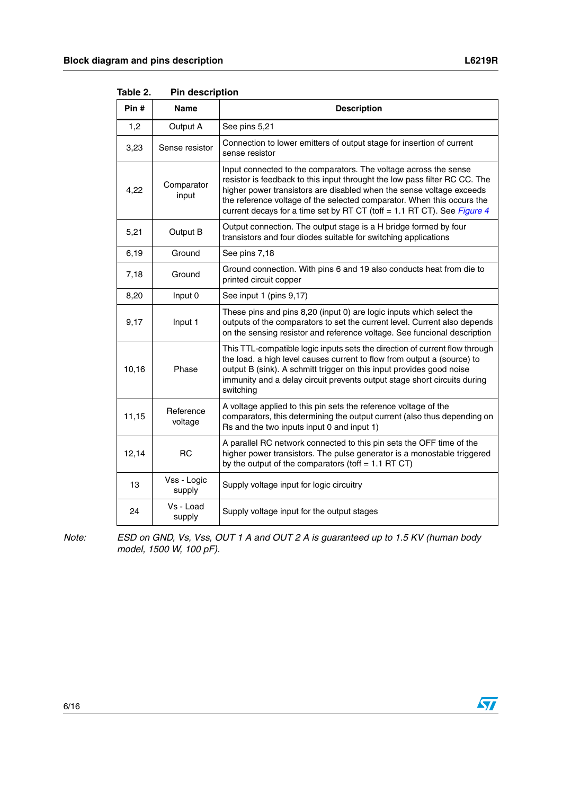| Pin # | Name                  | <b>Description</b>                                                                                                                                                                                                                                                                                                                                                          |
|-------|-----------------------|-----------------------------------------------------------------------------------------------------------------------------------------------------------------------------------------------------------------------------------------------------------------------------------------------------------------------------------------------------------------------------|
| 1,2   | Output A              | See pins 5,21                                                                                                                                                                                                                                                                                                                                                               |
| 3,23  | Sense resistor        | Connection to lower emitters of output stage for insertion of current<br>sense resistor                                                                                                                                                                                                                                                                                     |
| 4,22  | Comparator<br>input   | Input connected to the comparators. The voltage across the sense<br>resistor is feedback to this input throught the low pass filter RC CC. The<br>higher power transistors are disabled when the sense voltage exceeds<br>the reference voltage of the selected comparator. When this occurs the<br>current decays for a time set by RT CT (toff = 1.1 RT CT). See Figure 4 |
| 5,21  | Output B              | Output connection. The output stage is a H bridge formed by four<br>transistors and four diodes suitable for switching applications                                                                                                                                                                                                                                         |
| 6, 19 | Ground                | See pins 7,18                                                                                                                                                                                                                                                                                                                                                               |
| 7,18  | Ground                | Ground connection. With pins 6 and 19 also conducts heat from die to<br>printed circuit copper                                                                                                                                                                                                                                                                              |
| 8,20  | Input 0               | See input 1 (pins 9,17)                                                                                                                                                                                                                                                                                                                                                     |
| 9,17  | Input 1               | These pins and pins 8,20 (input 0) are logic inputs which select the<br>outputs of the comparators to set the current level. Current also depends<br>on the sensing resistor and reference voltage. See funcional description                                                                                                                                               |
| 10,16 | Phase                 | This TTL-compatible logic inputs sets the direction of current flow through<br>the load. a high level causes current to flow from output a (source) to<br>output B (sink). A schmitt trigger on this input provides good noise<br>immunity and a delay circuit prevents output stage short circuits during<br>switching                                                     |
| 11,15 | Reference<br>voltage  | A voltage applied to this pin sets the reference voltage of the<br>comparators, this determining the output current (also thus depending on<br>Rs and the two inputs input 0 and input 1)                                                                                                                                                                                   |
| 12,14 | <b>RC</b>             | A parallel RC network connected to this pin sets the OFF time of the<br>higher power transistors. The pulse generator is a monostable triggered<br>by the output of the comparators (toff = $1.1$ RT CT)                                                                                                                                                                    |
| 13    | Vss - Logic<br>supply | Supply voltage input for logic circuitry                                                                                                                                                                                                                                                                                                                                    |
| 24    | Vs - Load<br>supply   | Supply voltage input for the output stages                                                                                                                                                                                                                                                                                                                                  |

<span id="page-5-0"></span>Table 2. **Pin description** 

*Note: ESD on GND, Vs, Vss, OUT 1 A and OUT 2 A is guaranteed up to 1.5 KV (human body model, 1500 W, 100 pF).*

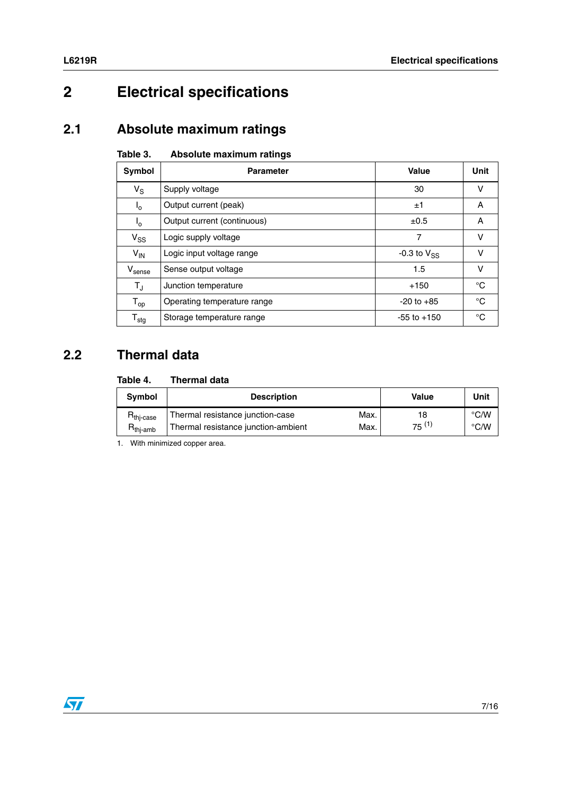## <span id="page-6-0"></span>**2 Electrical specifications**

### <span id="page-6-1"></span>**2.1 Absolute maximum ratings**

#### <span id="page-6-3"></span>Table 3. **Absolute maximum ratings**

| Symbol                       | <b>Parameter</b>            | Value              | <b>Unit</b> |
|------------------------------|-----------------------------|--------------------|-------------|
| $V_S$                        | Supply voltage              | 30                 | v           |
| $I_{0}$                      | Output current (peak)       | ±1                 | Α           |
| $I_{o}$                      | Output current (continuous) | $\pm 0.5$          | A           |
| $V_{SS}$                     | Logic supply voltage        | 7                  | v           |
| $V_{IN}$                     | Logic input voltage range   | $-0.3$ to $V_{SS}$ | v           |
| V <sub>sense</sub>           | Sense output voltage        | 1.5                | v           |
| $T_{\rm J}$                  | Junction temperature        | $+150$             | °C          |
| $T_{op}$                     | Operating temperature range | $-20$ to $+85$     | °C          |
| ${\mathsf T}_{\textsf{stg}}$ | Storage temperature range   | $-55$ to $+150$    | °C          |

### <span id="page-6-2"></span>**2.2 Thermal data**

#### <span id="page-6-4"></span>Table 4. **Thermal data**

| <b>Symbol</b>                                   | <b>Description</b>                          | Value  | Unit          |
|-------------------------------------------------|---------------------------------------------|--------|---------------|
| $R_{\mathsf{thj-case}}$                         | Thermal resistance junction-case<br>Max.    | 18     | $\degree$ C/W |
| $\mathsf{H}_{\mathsf{thi\text{-}}\mathsf{amb}}$ | Thermal resistance junction-ambient<br>Max. | 75 (1) | $\degree$ C/W |

1. With minimized copper area.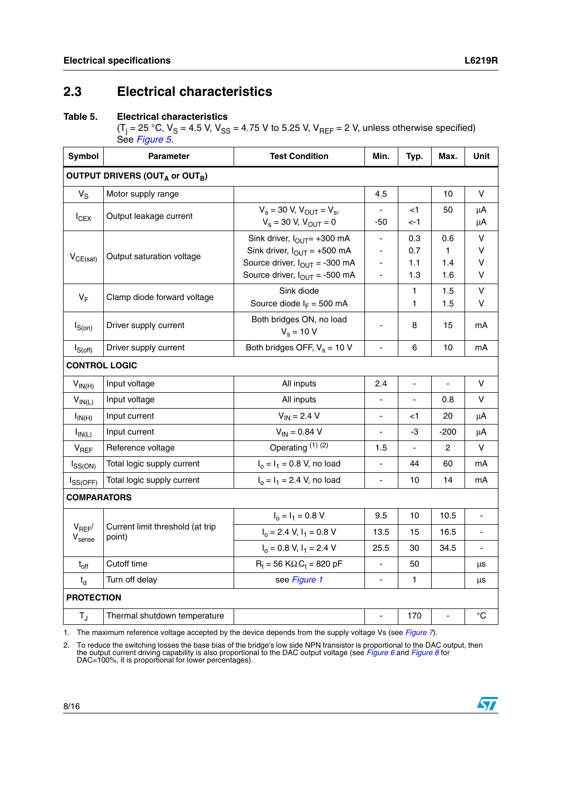$\sqrt{2}$ 

#### <span id="page-7-0"></span>**2.3 Electrical characteristics**

#### <span id="page-7-1"></span>. **Table 5. Electrical characteristics**

(T<sub>j</sub> = 25 °C, V<sub>S</sub> = 4.5 V, V<sub>SS</sub> = 4.75 V to 5.25 V, V<sub>REF</sub> = 2 V, unless otherwise specified) See *[Figure 5](#page-11-1)*.

| <b>Symbol</b>                                          | <b>Parameter</b>                           | <b>Test Condition</b>                                                                                                                                 | Min.                     | Typ.                         | Max.                              | Unit                             |
|--------------------------------------------------------|--------------------------------------------|-------------------------------------------------------------------------------------------------------------------------------------------------------|--------------------------|------------------------------|-----------------------------------|----------------------------------|
| OUTPUT DRIVERS (OUT <sub>A</sub> or OUT <sub>B</sub> ) |                                            |                                                                                                                                                       |                          |                              |                                   |                                  |
| $\mathsf{V}_\mathsf{S}$                                | Motor supply range                         |                                                                                                                                                       | 4.5                      |                              | 10                                | v                                |
| $I_{CEX}$                                              | Output leakage current                     | $V_s$ = 30 V, $V_{OUT}$ = $V_s$ ,<br>$V_s = 30 V, V_{OUT} = 0$                                                                                        | -50                      | <1<br><-1                    | 50                                | μA<br>μA                         |
| $V_{CE(sat)}$                                          | Output saturation voltage                  | Sink driver, $I_{\text{OUT}}$ +300 mA<br>Sink driver, $I_{OUT} = +500$ mA<br>Source driver, $I_{OUT} = -300$ mA<br>Source driver, $I_{OUT} = -500$ mA | ٠<br>٠<br>-<br>÷,        | 0.3<br>0.7<br>1.1<br>1.3     | 0.6<br>$\mathbf{1}$<br>1.4<br>1.6 | V<br>$\mathsf{V}$<br>$\vee$<br>V |
| $V_F$                                                  | Clamp diode forward voltage                | Sink diode<br>Source diode $I_F = 500$ mA                                                                                                             |                          | $\mathbf{1}$<br>1            | 1.5<br>1.5                        | $\mathsf{V}$<br>v                |
| $I_{S(0n)}$                                            | Driver supply current                      | Both bridges ON, no load<br>$V_s = 10 V$                                                                                                              | ł,                       | 8                            | 15                                | mA                               |
| $I_{S(off)}$                                           | Driver supply current                      | Both bridges OFF, $V_s = 10 V$                                                                                                                        | L,                       | 6                            | 10                                | mA                               |
| <b>CONTROL LOGIC</b>                                   |                                            |                                                                                                                                                       |                          |                              |                                   |                                  |
| $V_{IN(H)}$                                            | Input voltage                              | All inputs                                                                                                                                            | 2.4                      |                              | $\overline{a}$                    | $\vee$                           |
| $V_{IN(L)}$                                            | Input voltage                              | All inputs                                                                                                                                            | ÷                        | $\qquad \qquad \blacksquare$ | 0.8                               | v                                |
| $I_{IN(H)}$                                            | Input current                              | $V_{IN} = 2.4 V$                                                                                                                                      | ٠                        | <1                           | 20                                | μA                               |
| $I_{IN(L)}$                                            | Input current                              | $V_{IN} = 0.84 V$                                                                                                                                     | ÷,                       | -3                           | $-200$                            | μA                               |
| $V_{REF}$                                              | Reference voltage                          | Operating (1) (2)                                                                                                                                     | 1.5                      |                              | 2                                 | v                                |
| $I_{SS(ON)}$                                           | Total logic supply current                 | $I_0 = I_1 = 0.8$ V, no load                                                                                                                          | $\blacksquare$           | 44                           | 60                                | mA                               |
| $I_{SS(OFF)}$                                          | Total logic supply current                 | $I_0 = I_1 = 2.4$ V, no load                                                                                                                          | $\overline{a}$           | 10                           | 14                                | mA                               |
| <b>COMPARATORS</b>                                     |                                            |                                                                                                                                                       |                          |                              |                                   |                                  |
|                                                        |                                            | $I_0 = I_1 = 0.8 V$                                                                                                                                   | 9.5                      | 10                           | 10.5                              | $\overline{a}$                   |
| $V_{REF}$<br>$V_{\text{sense}}$                        | Current limit threshold (at trip<br>point) | $I_0 = 2.4$ V, $I_1 = 0.8$ V                                                                                                                          | 13.5                     | 15                           | 16.5                              |                                  |
|                                                        |                                            | $I_0 = 0.8$ V, $I_1 = 2.4$ V                                                                                                                          | 25.5                     | 30                           | 34.5                              | $\blacksquare$                   |
| $t_{off}$                                              | Cutoff time                                | $R_t = 56$ K $\Omega$ C <sub>t</sub> = 820 pF                                                                                                         | ÷,                       | 50                           |                                   | μs                               |
| $t_d$                                                  | Turn off delay                             | see Figure 1                                                                                                                                          | $\overline{\phantom{a}}$ | 1                            |                                   | μs                               |
| <b>PROTECTION</b>                                      |                                            |                                                                                                                                                       |                          |                              |                                   |                                  |
| $T_{\rm J}$                                            | Thermal shutdown temperature               |                                                                                                                                                       | Ĭ.                       | 170                          | l,                                | $^{\circ}C$                      |

1. The maximum reference voltage accepted by the device depends from the supply voltage Vs (see *[Figure 7](#page-12-2)*).

2. To reduce the switching losses the base bias of the bridge's low side NPN transistor is proportional to the DAC output, then<br>the output current driving capability is also proportional to the DAC output voltage (see Figu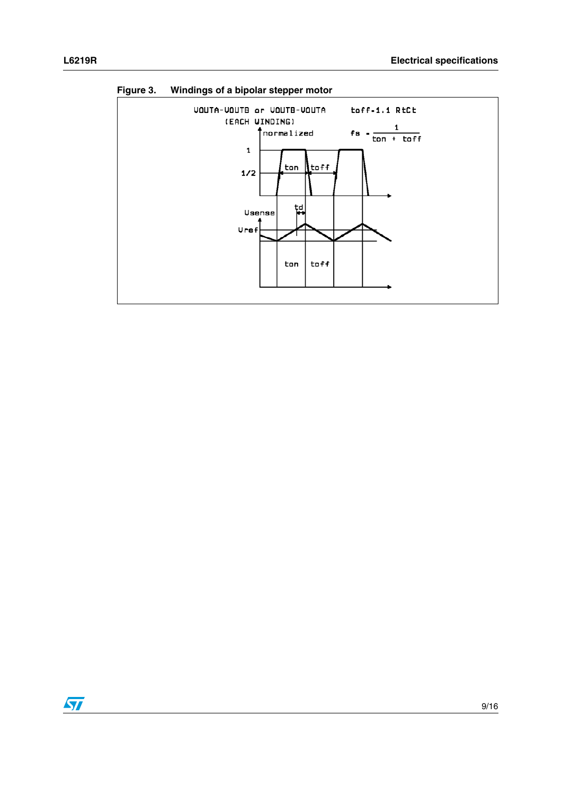

<span id="page-8-0"></span>**Figure 3. Windings of a bipolar stepper motor**

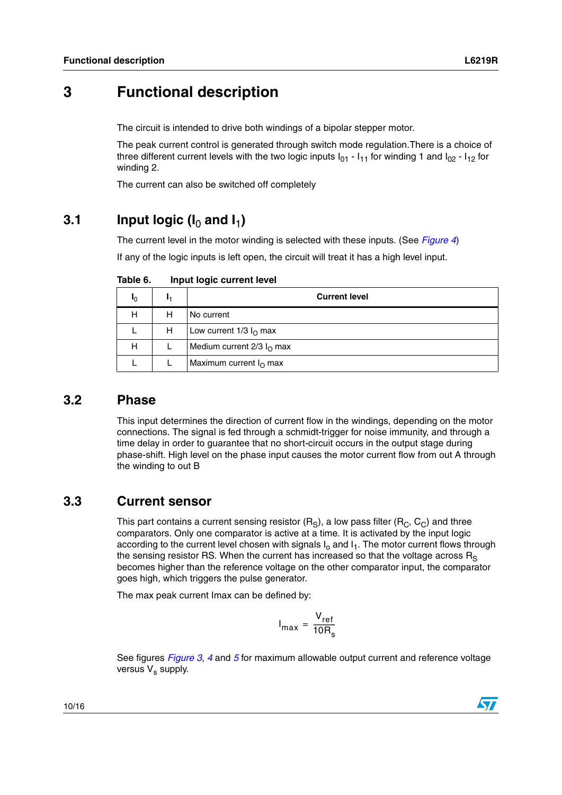## <span id="page-9-0"></span>**3 Functional description**

The circuit is intended to drive both windings of a bipolar stepper motor.

The peak current control is generated through switch mode regulation.There is a choice of three different current levels with the two logic inputs  $I_{01}$  -  $I_{11}$  for winding 1 and  $I_{02}$  -  $I_{12}$  for winding 2.

The current can also be switched off completely

#### <span id="page-9-1"></span>**3.1** Input logic ( $I_0$  and  $I_1$ )

The current level in the motor winding is selected with these inputs. (See *[Figure 4](#page-10-3)*)

If any of the logic inputs is left open, the circuit will treat it has a high level input.

| Iŋ |   | <b>Current level</b>             |
|----|---|----------------------------------|
| н  | н | l No current                     |
|    | н | Low current $1/3 I0$ max         |
| Н  |   | Medium current $2/3$ $IO$ max    |
|    |   | Maximum current $I_{\Omega}$ max |

<span id="page-9-4"></span>Table 6. **Input logic current level** 

#### <span id="page-9-2"></span>**3.2 Phase**

This input determines the direction of current flow in the windings, depending on the motor connections. The signal is fed through a schmidt-trigger for noise immunity, and through a time delay in order to guarantee that no short-circuit occurs in the output stage during phase-shift. High level on the phase input causes the motor current flow from out A through the winding to out B

#### <span id="page-9-3"></span>**3.3 Current sensor**

This part contains a current sensing resistor  $(R_S)$ , a low pass filter  $(R_C, C_C)$  and three comparators. Only one comparator is active at a time. It is activated by the input logic according to the current level chosen with signals  $I_0$  and  $I_1$ . The motor current flows through the sensing resistor RS. When the current has increased so that the voltage across  $R_s$ becomes higher than the reference voltage on the other comparator input, the comparator goes high, which triggers the pulse generator.

The max peak current Imax can be defined by:

$$
I_{\text{max}} = \frac{V_{\text{ref}}}{10R_{\text{s}}}
$$

See figures *[Figure 3](#page-8-0)*, *[4](#page-10-3)* and *[5](#page-11-1)* for maximum allowable output current and reference voltage versus  $V_s$  supply.

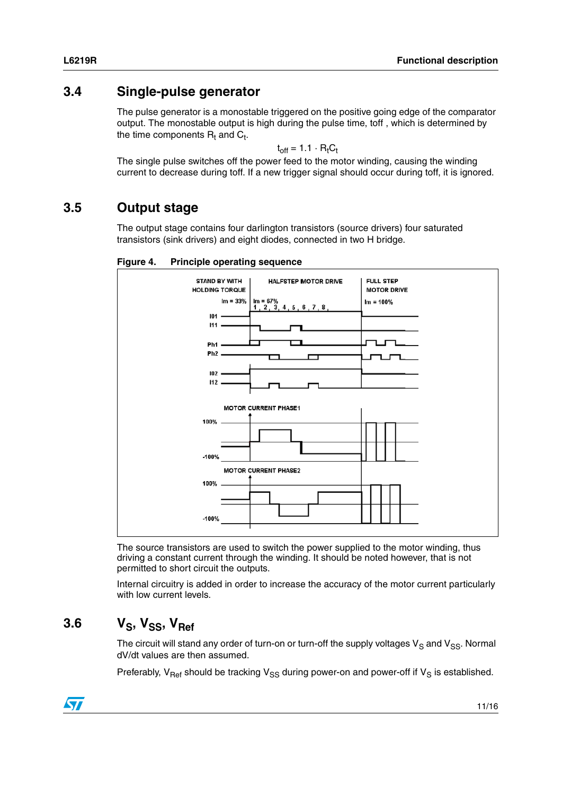### <span id="page-10-0"></span>**3.4 Single-pulse generator**

The pulse generator is a monostable triggered on the positive going edge of the comparator output. The monostable output is high during the pulse time, toff , which is determined by the time components  $\mathsf{R}_{\mathsf{t}}$  and  $\mathsf{C}_{\mathsf{t}}$ .

$$
t_{off} = 1.1 \cdot R_t C_t
$$

The single pulse switches off the power feed to the motor winding, causing the winding current to decrease during toff. If a new trigger signal should occur during toff, it is ignored.

#### <span id="page-10-1"></span>**3.5 Output stage**

The output stage contains four darlington transistors (source drivers) four saturated transistors (sink drivers) and eight diodes, connected in two H bridge.

#### <span id="page-10-3"></span>**Figure 4. Principle operating sequence**



The source transistors are used to switch the power supplied to the motor winding, thus driving a constant current through the winding. It should be noted however, that is not permitted to short circuit the outputs.

Internal circuitry is added in order to increase the accuracy of the motor current particularly with low current levels.

## <span id="page-10-2"></span>3.6 V<sub>S</sub>, V<sub>SS</sub>, V<sub>Ref</sub>

The circuit will stand any order of turn-on or turn-off the supply voltages  $V_S$  and  $V_{SS}$ . Normal dV/dt values are then assumed.

Preferably,  $V_{\text{Ref}}$  should be tracking  $V_{SS}$  during power-on and power-off if  $V_S$  is established.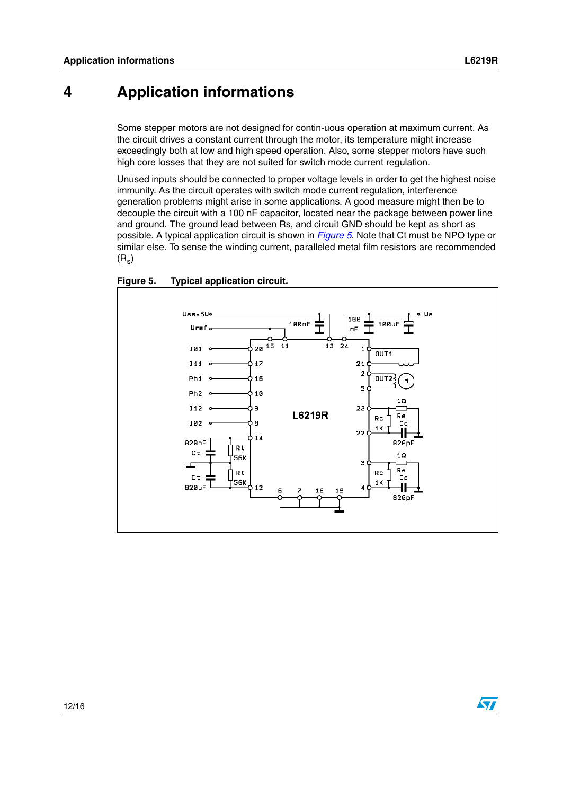## <span id="page-11-0"></span>**4 Application informations**

Some stepper motors are not designed for contin-uous operation at maximum current. As the circuit drives a constant current through the motor, its temperature might increase exceedingly both at low and high speed operation. Also, some stepper motors have such high core losses that they are not suited for switch mode current regulation.

Unused inputs should be connected to proper voltage levels in order to get the highest noise immunity. As the circuit operates with switch mode current regulation, interference generation problems might arise in some applications. A good measure might then be to decouple the circuit with a 100 nF capacitor, located near the package between power line and ground. The ground lead between Rs, and circuit GND should be kept as short as possible. A typical application circuit is shown in *[Figure 5](#page-11-1)*. Note that Ct must be NPO type or similar else. To sense the winding current, paralleled metal film resistors are recommended  $(R_s)$ 



<span id="page-11-1"></span>**Figure 5. Typical application circuit.**

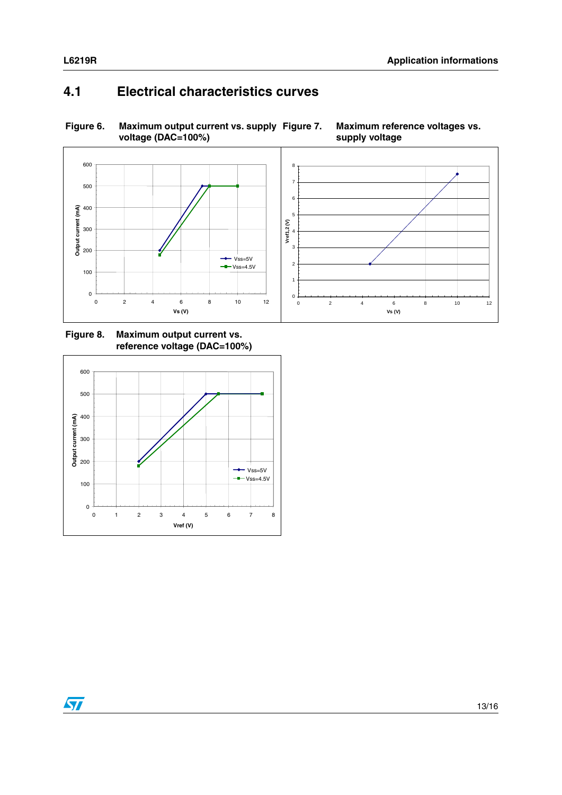$\sqrt{2}$ 

#### <span id="page-12-0"></span>**4.1 Electrical characteristics curves**

#### <span id="page-12-2"></span><span id="page-12-1"></span>**Figure 6. Maximum output current vs. supply voltage (DAC=100%) Maximum reference voltages vs. supply voltage**



<span id="page-12-3"></span>**Figure 8. Maximum output current vs. reference voltage (DAC=100%)**

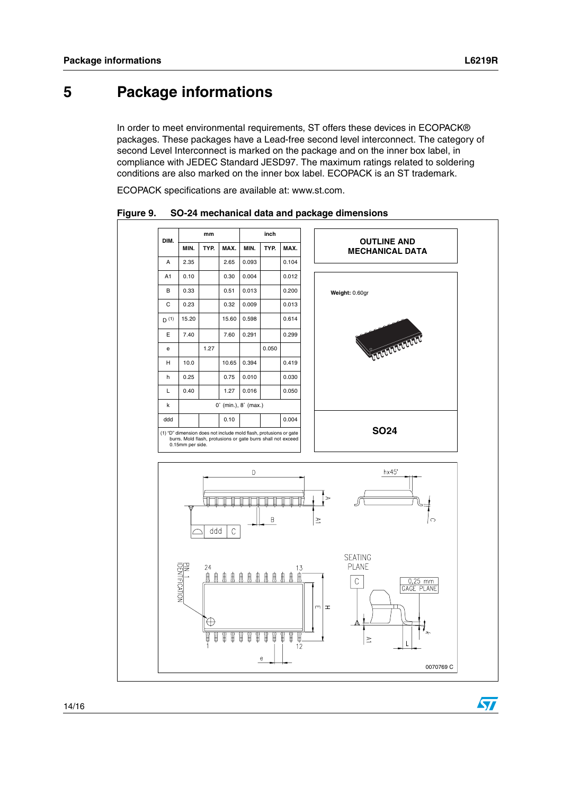$\bm{\varPi}$ 

### <span id="page-13-1"></span>**5 Package informations**

<span id="page-13-0"></span>In order to meet environmental requirements, ST offers these devices in ECOPACK® packages. These packages have a Lead-free second level interconnect. The category of second Level Interconnect is marked on the package and on the inner box label, in compliance with JEDEC Standard JESD97. The maximum ratings related to soldering conditions are also marked on the inner box label. ECOPACK is an ST trademark.

ECOPACK specifications are available at: www.st.com.



<span id="page-13-2"></span>**Figure 9. SO-24 mechanical data and package dimensions**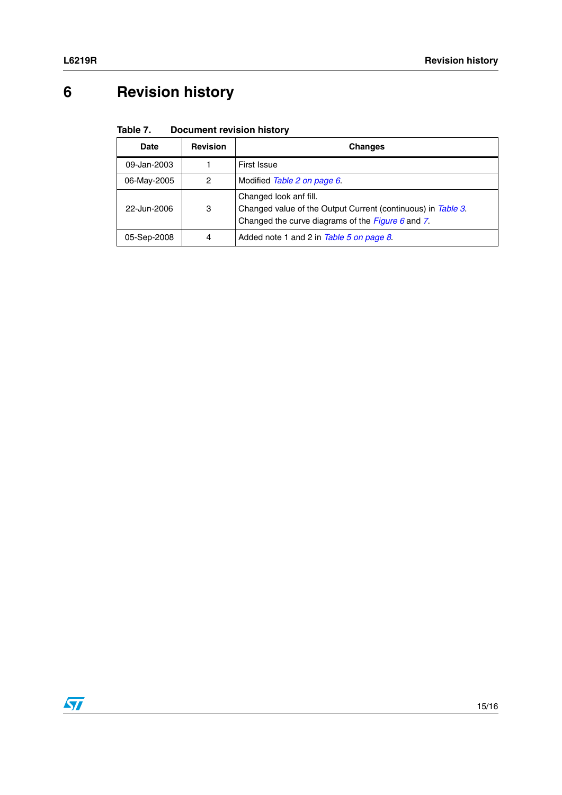# <span id="page-14-0"></span>**6 Revision history**

#### <span id="page-14-1"></span>Table 7. **Document revision history**

| Date        | <b>Revision</b> | <b>Changes</b>                                                                                                                                |
|-------------|-----------------|-----------------------------------------------------------------------------------------------------------------------------------------------|
| 09-Jan-2003 |                 | First Issue                                                                                                                                   |
| 06-May-2005 | 2               | Modified Table 2 on page 6.                                                                                                                   |
| 22-Jun-2006 | 3               | Changed look anf fill.<br>Changed value of the Output Current (continuous) in Table 3.<br>Changed the curve diagrams of the Figure $6$ and 7. |
| 05-Sep-2008 | 4               | Added note 1 and 2 in Table 5 on page 8.                                                                                                      |